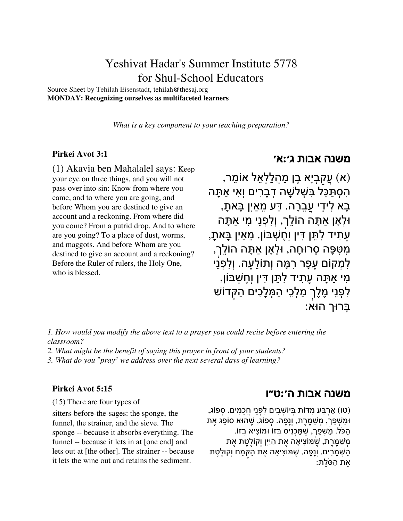# Yeshivat Hadar's Summer Institute 5778 for Shul-School Educators

Source Sheet by Tehilah [Eisenstadt,](http://docs.google.com/profile/tehilah-eisenstadt) tehilah@thesaj.org **MONDAY: Recognizing ourselves as multifaceted learners**

*What is a key component to your teaching preparation?*

#### **[Pirkei](https://www.sefaria.org/Pirkei_Avot.3.1) Avot 3:1**

(1) Akavia ben Mahalalel says: Keep your eye on three things, and you will not pass over into sin: Know from where you came, and to where you are going, and before Whom you are destined to give an account and a reckoning. From where did you come? From a putrid drop. And to where are you going? To a place of dust, worms, and maggots. And before Whom are you destined to give an account and a reckoning? Before the Ruler of rulers, the Holy One, who is blessed.

### [משנה](https://www.sefaria.org/Pirkei_Avot.3.1) אבות ג׳**:**א׳

(א) ֲעַקְביָא ֶבן ַמ ֲהַלְלֵאל ֵ אוֹמר, ִהְס ַתֵּכּל ִבּ ְשׁ ָלשׁה ְדָבִרים וְִאי ָאַתּה ָבָא לִידִי עַבֲרָה. דַּע מֵאַיִן בַּאתַ, וּלְאָן אַתָּה הוֹלֵך, וְלִפְנֵי מִי אַתַּה ָעֲתִיד לְתֵּן דִּין וְחֱשָׁבּוֹן. מֵאַיִן בָּאתָ, ִמִטָּפּה ְס ָ רוּחה, ְוּלאָן ָאַתּה ֵהוֹלְך, ַלְמְקוֹם עִפָּר רְמֵּה וְתוֹלֵעה. וְלִפְנֵי ָמִי אַתָּה עִתִיד לִתֵּן דִּין וְחֻשָּׁבּוֹן, לִפְנֵי מֶלֶך מַלְכֵי הַמְּלָכִים הַקּדוֹשׁ ָבּרוּך הוּא:

*1. How would you modify the above text to a prayer you could recite before entering the classroom?*

- *2. What might be the benefit of saying this prayer in front of your students?*
- *3. What do you "pray" we address over the next several days of learning?*

#### **[Pirkei](https://www.sefaria.org/Pirkei_Avot.5.15) Avot 5:15**

(15) There are four types of

sitters-before-the-sages: the sponge, the funnel, the strainer, and the sieve. The sponge -- because it absorbs everything. The funnel -- because it lets in at [one end] and lets out at [the other]. The strainer -- because it lets the wine out and retains the sediment.

### [משנה](https://www.sefaria.org/Pirkei_Avot.5.15) אבות ה׳**:**ט״ו

(טו) אַרבַּע מִדּוֹת בּיוֹשִׁבִים לְפַנֵי חְכַמִּים. ספוֹג, וַּמ ְשֵׁפּך,ְ ְמ ַשֶׁמֶּרת, וְָנָפה. ְספוֹג, ֶשׁהוּא סוֵֹפג ֶאת ָהַכֹּל. מַשַׁפֵּך, שַׁמֵּכניס בּזוֹ וּמוֹצִיא בזוֹ. מַשַׁמֵּרת, שֹׁמּוֹצִיאַה את הַיַּיִן וִקוֹלְטת את ַמח וְקוֶֹלֶטת ַה ְשָּׁמִרים. וְָנָפה, ֶשׁמּוִֹציאָה ֶאת ַהקֶּ ָּאֵת הַסֹּלֵת: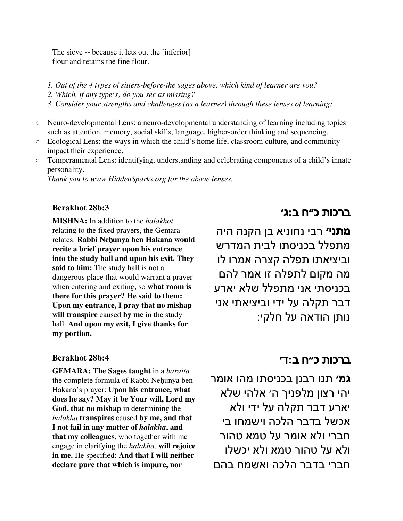The sieve -- because it lets out the [inferior] flour and retains the fine flour.

- *1. Out of the 4 types of sitters-before-the sages above, which kind of learner are you?*
- *2. Which, if any type(s) do you see as missing?*
- *3. Consider your strengths and challenges (as a learner) through these lenses of learning:*
- Neuro-developmental Lens: a neuro-developmental understanding of learning including topics such as attention, memory, social skills, language, higher-order thinking and sequencing.
- Ecological Lens: the ways in which the child's home life, classroom culture, and community impact their experience.
- Temperamental Lens: identifying, understanding and celebrating components of a child's innate personality.

*Thank you to www.HiddenSparks.org for the above lenses.*

### **[Berakhot](https://www.sefaria.org/Berakhot.28b.3) 28b:3**

**MISHNA:** In addition to the *halakhot* relating to the fixed prayers, the Gemara relates: **Rabbi Ne**ḥ**unya ben Hakana would recite a brief prayer upon his entrance into the study hall and upon his exit. They said to him:** The study hall is not a dangerous place that would warrant a prayer when entering and exiting, so **what room is there for this prayer? He said to them: Upon my entrance, I pray that no mishap will transpire** caused **by me** in the study hall. **And upon my exit, I give thanks for my portion.**

### **[Berakhot](https://www.sefaria.org/Berakhot.28b.4) 28b:4**

**GEMARA: The Sages taught** in a *baraita* the complete formula of Rabbi Nehunya ben Hakana's prayer: **Upon his entrance, what does he say? May it be Your will, Lord my God, that no mishap** in determining the *halakha* **transpires** caused **by me, and that I not fail in any matter of** *halakha***, and that my colleagues,** who together with me engage in clarifying the *halakha,* **will rejoice in me.** He specified: **And that I will neither declare pure that which is impure, nor**

## ברכות כ״ח ב**:**ג׳

**מתני׳** רבי נחוניא בן הקנה היה מתפלל בכניסתו לבית המדרש וביציאתו תפלה קצרה אמרו לו מה מקום לתפלה זו אמר להם בכניסתי אני מתפלל שלא יארע דבר תקלה על ידי וביציאתי אני נותן הודאה על חלקי:

# ברכות כ״ח ב**:**ד׳

**גמ׳** תנו רבנן בכניסתו מהו אומר יהי רצון מלפניך ה׳ אלהי שלא יארע דבר תקלה על ידי ולא אכשל בדבר הלכה וישמחו בי חברי ולא אומר על טמא טהור ולא על טהור טמא ולא יכשלו חברי בדבר הלכה ואשמח בהם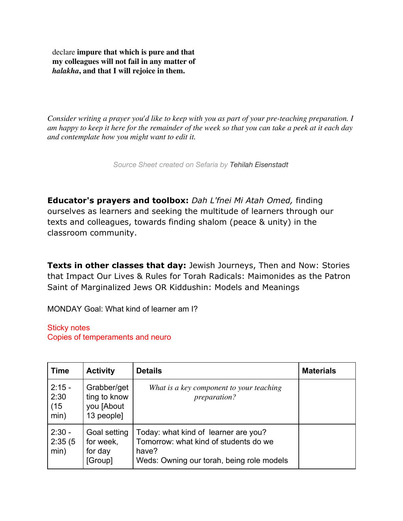declare **impure that which is pure and that my colleagues will not fail in any matter of** *halakha***, and that I will rejoice in them.**

*Consider writing a prayer you'd like to keep with you as part of your pre-teaching preparation. I am happy to keep it here for the remainder of the week so that you can take a peek at it each day and contemplate how you might want to edit it.*

*Source Sheet created on Sefaria by Tehilah [Eisenstadt](https://www.sefaria.org/profile/tehilah-eisenstadt)*

**Educator's prayers and toolbox:** *Dah L'fnei Mi Atah Omed,* finding ourselves as learners and seeking the multitude of learners through our texts and colleagues, towards finding shalom (peace & unity) in the classroom community.

**Texts in other classes that day:** Jewish Journeys, Then and Now: Stories that Impact Our Lives & Rules for Torah Radicals: Maimonides as the Patron Saint of Marginalized Jews OR Kiddushin: Models and Meanings

MONDAY Goal: What kind of learner am I?

Sticky notes Copies of temperaments and neuro

| <b>Time</b>                      | <b>Activity</b>                                         | <b>Details</b>                                                                                                                      | <b>Materials</b> |
|----------------------------------|---------------------------------------------------------|-------------------------------------------------------------------------------------------------------------------------------------|------------------|
| $2:15 -$<br>2:30<br>(15)<br>min) | Grabber/get<br>ting to know<br>you [About<br>13 people] | What is a key component to your teaching<br><i>preparation?</i>                                                                     |                  |
| $2:30 -$<br>2:35(5)<br>min)      | Goal setting<br>for week,<br>for day<br>[Group]         | Today: what kind of learner are you?<br>Tomorrow: what kind of students do we<br>have?<br>Weds: Owning our torah, being role models |                  |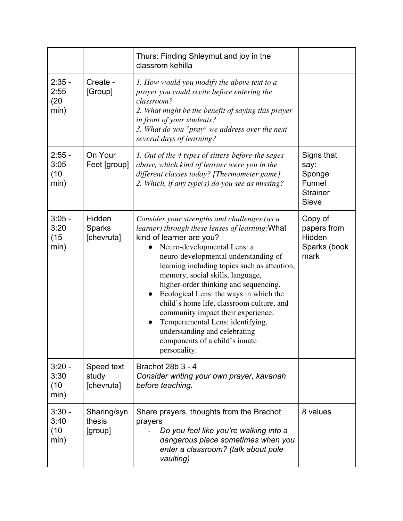|                                  |                                       | Thurs: Finding Shleymut and joy in the<br>classrom kehilla                                                                                                                                                                                                                                                                                                                                                                                                                                                                                                                                       |                                                                           |
|----------------------------------|---------------------------------------|--------------------------------------------------------------------------------------------------------------------------------------------------------------------------------------------------------------------------------------------------------------------------------------------------------------------------------------------------------------------------------------------------------------------------------------------------------------------------------------------------------------------------------------------------------------------------------------------------|---------------------------------------------------------------------------|
| $2:35 -$<br>2:55<br>(20)<br>min) | Create -<br>[Group]                   | 1. How would you modify the above text to a<br>prayer you could recite before entering the<br>classroom?<br>2. What might be the benefit of saying this prayer<br>in front of your students?<br>3. What do you "pray" we address over the next<br>several days of learning?                                                                                                                                                                                                                                                                                                                      |                                                                           |
| $2:55 -$<br>3:05<br>(10)<br>min) | On Your<br>Feet [group]               | 1. Out of the 4 types of sitters-before-the sages<br>above, which kind of learner were you in the<br>different classes today? [Thermometer game]<br>2. Which, if any type(s) do you see as missing?                                                                                                                                                                                                                                                                                                                                                                                              | Signs that<br>say:<br>Sponge<br>Funnel<br><b>Strainer</b><br><b>Sieve</b> |
| $3:05 -$<br>3:20<br>(15)<br>min) | Hidden<br><b>Sparks</b><br>[chevruta] | Consider your strengths and challenges (as a<br>learner) through these lenses of learning: What<br>kind of learner are you?<br>Neuro-developmental Lens: a<br>neuro-developmental understanding of<br>learning including topics such as attention,<br>memory, social skills, language,<br>higher-order thinking and sequencing.<br>Ecological Lens: the ways in which the<br>child's home life, classroom culture, and<br>community impact their experience.<br>Temperamental Lens: identifying,<br>$\bullet$<br>understanding and celebrating<br>components of a child's innate<br>personality. | Copy of<br>papers from<br>Hidden<br>Sparks (book<br>mark                  |
| $3:20 -$<br>3:30<br>(10)<br>min) | Speed text<br>study<br>[chevruta]     | Brachot 28b 3 - 4<br>Consider writing your own prayer, kavanah<br>before teaching.                                                                                                                                                                                                                                                                                                                                                                                                                                                                                                               |                                                                           |
| $3:30 -$<br>3:40<br>(10)<br>min) | Sharing/syn<br>thesis<br>[group]      | Share prayers, thoughts from the Brachot<br>prayers<br>Do you feel like you're walking into a<br>dangerous place sometimes when you<br>enter a classroom? (talk about pole<br>vaulting)                                                                                                                                                                                                                                                                                                                                                                                                          | 8 values                                                                  |